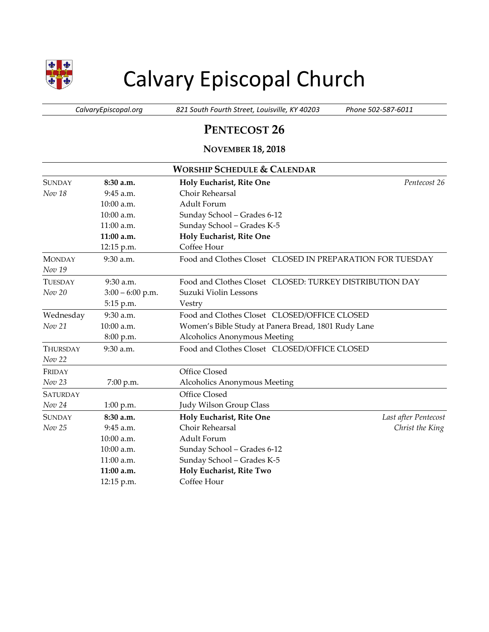

# Calvary Episcopal Church

*CalvaryEpiscopal.org 821 South Fourth Street, Louisville, KY 40203 Phone 502-587-6011*

## **PENTECOST 26**

### **NOVEMBER 18, 2018**

| <b>WORSHIP SCHEDULE &amp; CALENDAR</b> |                    |                                                           |                      |  |  |
|----------------------------------------|--------------------|-----------------------------------------------------------|----------------------|--|--|
| <b>SUNDAY</b>                          | 8:30 a.m.          | Holy Eucharist, Rite One                                  | Pentecost 26         |  |  |
| Nov 18                                 | 9:45 a.m.          | Choir Rehearsal                                           |                      |  |  |
|                                        | 10:00 a.m.         | Adult Forum                                               |                      |  |  |
|                                        | 10:00 a.m.         | Sunday School - Grades 6-12                               |                      |  |  |
|                                        | 11:00 a.m.         | Sunday School - Grades K-5                                |                      |  |  |
|                                        | 11:00 a.m.         | Holy Eucharist, Rite One                                  |                      |  |  |
|                                        | 12:15 p.m.         | Coffee Hour                                               |                      |  |  |
| <b>MONDAY</b>                          | 9:30 a.m.          | Food and Clothes Closet CLOSED IN PREPARATION FOR TUESDAY |                      |  |  |
| Nov 19                                 |                    |                                                           |                      |  |  |
| <b>TUESDAY</b>                         | $9:30$ a.m.        | Food and Clothes Closet CLOSED: TURKEY DISTRIBUTION DAY   |                      |  |  |
| Nov 20                                 | $3:00 - 6:00$ p.m. | Suzuki Violin Lessons                                     |                      |  |  |
|                                        | 5:15 p.m.          | Vestry                                                    |                      |  |  |
| Wednesday                              | 9:30 a.m.          | Food and Clothes Closet CLOSED/OFFICE CLOSED              |                      |  |  |
| Nov 21                                 | 10:00 a.m.         | Women's Bible Study at Panera Bread, 1801 Rudy Lane       |                      |  |  |
|                                        | 8:00 p.m.          | <b>Alcoholics Anonymous Meeting</b>                       |                      |  |  |
| <b>THURSDAY</b>                        | $9:30$ a.m.        | Food and Clothes Closet CLOSED/OFFICE CLOSED              |                      |  |  |
| Nov 22                                 |                    |                                                           |                      |  |  |
| FRIDAY                                 |                    | Office Closed                                             |                      |  |  |
| Nov 23                                 | 7:00 p.m.          | Alcoholics Anonymous Meeting                              |                      |  |  |
| <b>SATURDAY</b>                        |                    | Office Closed                                             |                      |  |  |
| Nov 24                                 | $1:00$ p.m.        | Judy Wilson Group Class                                   |                      |  |  |
| <b>SUNDAY</b>                          | 8:30a.m.           | Holy Eucharist, Rite One                                  | Last after Pentecost |  |  |
| Nov 25                                 | $9:45$ a.m.        | Choir Rehearsal                                           | Christ the King      |  |  |
|                                        | $10:00$ a.m.       | Adult Forum                                               |                      |  |  |
|                                        | 10:00 a.m.         | Sunday School - Grades 6-12                               |                      |  |  |
|                                        | $11:00$ a.m.       | Sunday School - Grades K-5                                |                      |  |  |
|                                        | 11:00 a.m.         | Holy Eucharist, Rite Two                                  |                      |  |  |
|                                        | 12:15 p.m.         | Coffee Hour                                               |                      |  |  |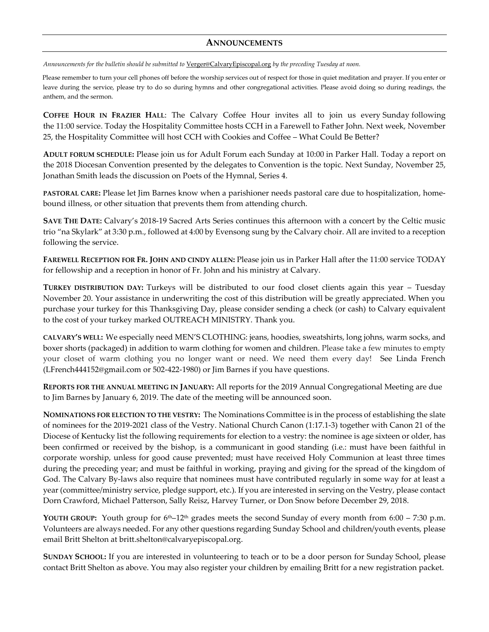#### **ANNOUNCEMENTS**

*Announcements for the bulletin should be submitted to* [Verger@CalvaryEpiscopal.org](mailto:Verger@CalvaryEpiscopal.org) *by the preceding Tuesday at noon.* 

Please remember to turn your cell phones off before the worship services out of respect for those in quiet meditation and prayer. If you enter or leave during the service, please try to do so during hymns and other congregational activities. Please avoid doing so during readings, the anthem, and the sermon.

**COFFEE HOUR IN FRAZIER HALL**: The Calvary Coffee Hour invites all to join us every Sunday following the 11:00 service. Today the Hospitality Committee hosts CCH in a Farewell to Father John. Next week, November 25, the Hospitality Committee will host CCH with Cookies and Coffee – What Could Be Better?

**ADULT FORUM SCHEDULE:** Please join us for Adult Forum each Sunday at 10:00 in Parker Hall. Today a report on the 2018 Diocesan Convention presented by the delegates to Convention is the topic. Next Sunday, November 25, Jonathan Smith leads the discussion on Poets of the Hymnal, Series 4.

**PASTORAL CARE:** Please let Jim Barnes know when a parishioner needs pastoral care due to hospitalization, homebound illness, or other situation that prevents them from attending church.

**SAVE THE DATE:** Calvary's 2018-19 Sacred Arts Series continues this afternoon with a concert by the Celtic music trio "na Skylark" at 3:30 p.m., followed at 4:00 by Evensong sung by the Calvary choir. All are invited to a reception following the service.

**FAREWELL RECEPTION FOR FR. JOHN AND CINDY ALLEN:** Please join us in Parker Hall after the 11:00 service TODAY for fellowship and a reception in honor of Fr. John and his ministry at Calvary.

**TURKEY DISTRIBUTION DAY:** Turkeys will be distributed to our food closet clients again this year – Tuesday November 20. Your assistance in underwriting the cost of this distribution will be greatly appreciated. When you purchase your turkey for this Thanksgiving Day, please consider sending a check (or cash) to Calvary equivalent to the cost of your turkey marked OUTREACH MINISTRY. Thank you.

**CALVARY'S WELL:** We especially need MEN'S CLOTHING: jeans, hoodies, sweatshirts, long johns, warm socks, and boxer shorts (packaged) in addition to warm clothing for women and children. Please take a few minutes to empty your closet of warm clothing you no longer want or need. We need them every day! See Linda French [\(LFrench444152@gmail.com](mailto:LFrench444152@gmail.com) or 502-422-1980) or Jim Barnes if you have questions.

**REPORTS FOR THE ANNUAL MEETING IN JANUARY:** All reports for the 2019 Annual Congregational Meeting are due to Jim Barnes by January 6, 2019. The date of the meeting will be announced soon.

**NOMINATIONS FOR ELECTION TO THE VESTRY:** The Nominations Committee is in the process of establishing the slate of nominees for the 2019-2021 class of the Vestry. National Church Canon (1:17.1-3) together with Canon 21 of the Diocese of Kentucky list the following requirements for election to a vestry: the nominee is age sixteen or older, has been confirmed or received by the bishop, is a communicant in good standing (i.e.: must have been faithful in corporate worship, unless for good cause prevented; must have received Holy Communion at least three times during the preceding year; and must be faithful in working, praying and giving for the spread of the kingdom of God. The Calvary By-laws also require that nominees must have contributed regularly in some way for at least a year (committee/ministry service, pledge support, etc.). If you are interested in serving on the Vestry, please contact Dorn Crawford, Michael Patterson, Sally Reisz, Harvey Turner, or Don Snow before December 29, 2018.

**YOUTH GROUP:** Youth group for  $6<sup>th</sup>–12<sup>th</sup>$  grades meets the second Sunday of every month from  $6:00 - 7:30$  p.m. Volunteers are always needed. For any other questions regarding Sunday School and children/youth events, please email Britt Shelton at [britt.shelton@calvaryepiscopal.org.](mailto:britt.shelton@calvaryepiscopal.org)

**SUNDAY SCHOOL:** If you are interested in volunteering to teach or to be a door person for Sunday School, please contact Britt Shelton as above. You may also register your children by emailing Britt for a new registration packet.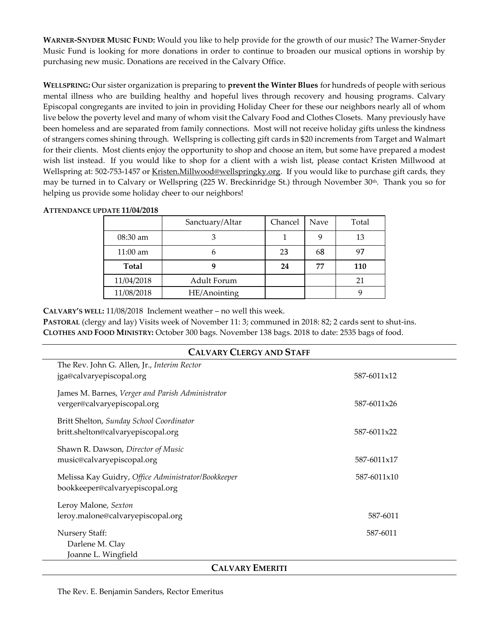**WARNER-SNYDER MUSIC FUND:** Would you like to help provide for the growth of our music? The Warner-Snyder Music Fund is looking for more donations in order to continue to broaden our musical options in worship by purchasing new music. Donations are received in the Calvary Office.

**WELLSPRING:** Our sister organization is preparing to **prevent the Winter Blues** for hundreds of people with serious mental illness who are building healthy and hopeful lives through recovery and housing programs. Calvary Episcopal congregants are invited to join in providing Holiday Cheer for these our neighbors nearly all of whom live below the poverty level and many of whom visit the Calvary Food and Clothes Closets. Many previously have been homeless and are separated from family connections. Most will not receive holiday gifts unless the kindness of strangers comes shining through.Wellspring is collecting gift cards in \$20 increments from Target and Walmart for their clients. Most clients enjoy the opportunity to shop and choose an item, but some have prepared a modest wish list instead. If you would like to shop for a client with a wish list, please contact Kristen Millwood at Wellspring at: 502-753-1457 or [Kristen.Millwood@wellspringky.org.](mailto:Kristen.Millwood@wellspringky.org) If you would like to purchase gift cards, they may be turned in to Calvary or Wellspring (225 W. Breckinridge St.) through November 30th. Thank you so for helping us provide some holiday cheer to our neighbors!

|              | Sanctuary/Altar | Chancel | Nave | Total |  |  |
|--------------|-----------------|---------|------|-------|--|--|
| 08:30 am     |                 |         | g    | 13    |  |  |
| $11:00$ am   | h               | 23      | 68   | 97    |  |  |
| <b>Total</b> |                 | 24      | 77   | 110   |  |  |
| 11/04/2018   | Adult Forum     |         |      | 21    |  |  |
| 11/08/2018   | HE/Anointing    |         |      |       |  |  |

#### **ATTENDANCE UPDATE 11/04/2018**

**CALVARY'S WELL:** 11/08/2018 Inclement weather – no well this week.

**PASTORAL** (clergy and lay) Visits week of November 11: 3; communed in 2018: 82; 2 cards sent to shut-ins. **CLOTHES AND FOOD MINISTRY:** October 300 bags. November 138 bags. 2018 to date: 2535 bags of food.

| <b>CALVARY CLERGY AND STAFF</b>                                                        |             |  |  |  |  |
|----------------------------------------------------------------------------------------|-------------|--|--|--|--|
| The Rev. John G. Allen, Jr., Interim Rector<br>jga@calvaryepiscopal.org                | 587-6011x12 |  |  |  |  |
| James M. Barnes, Verger and Parish Administrator<br>verger@calvaryepiscopal.org        | 587-6011x26 |  |  |  |  |
| Britt Shelton, Sunday School Coordinator<br>britt.shelton@calvaryepiscopal.org         | 587-6011x22 |  |  |  |  |
| Shawn R. Dawson, Director of Music<br>music@calvaryepiscopal.org                       | 587-6011x17 |  |  |  |  |
| Melissa Kay Guidry, Office Administrator/Bookkeeper<br>bookkeeper@calvaryepiscopal.org | 587-6011x10 |  |  |  |  |
| Leroy Malone, Sexton<br>leroy.malone@calvaryepiscopal.org                              | 587-6011    |  |  |  |  |
| <b>Nursery Staff:</b><br>Darlene M. Clay<br>Joanne L. Wingfield                        | 587-6011    |  |  |  |  |
| <b>CALVARY EMERITI</b>                                                                 |             |  |  |  |  |

#### The Rev. E. Benjamin Sanders, Rector Emeritus